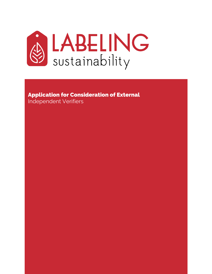

# Application for Consideration of External

Independent Verifiers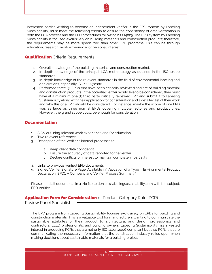

Interested parties wishing to become an independent verifier in the EPD system by Labeling Sustainability, must meet the following criteria to ensure the consistency of data verification in both the LCA process and the EPD procedures following ISO 14025. The EPD system by Labeling Sustainability is focused exclusively on building materials and construction products; therefore, the requirements may be more specialized than other EPD programs. This can be through education, research, work experience, or personal interest.

**Qualification** Criteria Requirements

- 1. Overall knowledge of the building materials and construction market.
- 2. In-depth knowledge of the principal LCA methodology as outlined in the ISO 14000 standards.
- 3. In-depth knowledge of the relevant standards in the field of environmental labeling and declarations, especially ISO 14025:2006
- 4. Performed three (3) EPDs that have been critically reviewed and are of building material and construction products. If the potential verifier would like to be considered, they must have at a minimum one (1) third party critically reviewed EPD and submit it to Labeling Sustainability along with their application for consideration and a detailed list of their work and why this one EPD should be considered. For instance, maybe the scope of one EPD was as large as three normal EPDs covering multiple factories and product lines. However, the grand scope could be enough for consideration.

## **Documentation**

- 1. A CV outlining relevant work experience and/or education
- 2. Two relevant references
- 3. Description of the Verifier's internal processes to:
	- a. Keep client data confidential
	- b. Ensure the accuracy of data reported to the verifier
	- c. Declare conflicts of interest to maintain complete impartiality
- 4. Links to previous verified EPD documents
- 5. Signed Verifier Signature Page, Available in "Validation of a Type III Environmental Product Declaration (EPD), A Company and Verifier Process Summary"

Please send all documents in a .zip file to denice@labelingsustainability.com with the subject: EPD Verifier.

# **Application Form for Consideration** of Product Category Rule (PCR)

Review Panel Specialist

The EPD program from Labeling Sustainability focuses exclusively on EPDs for building and construction materials. This is a valuable tool for manufacturers wanting to communicate the sustainable attributes of their product to architectural and design professionals and contractors, LEED professionals, and building owners. Labeling Sustainability has a vested interest in producing PCRs that are not only ISO 14025:2006 compliant but also PCRs that are communicating the necessary information that the construction industry relies upon when making decisions about sustainable materials for a building project.